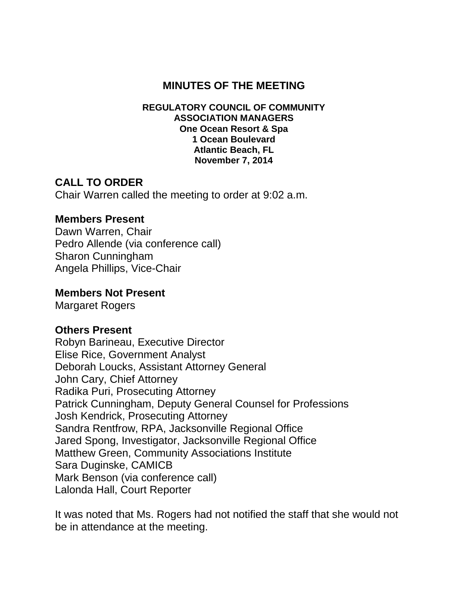### **MINUTES OF THE MEETING**

#### **REGULATORY COUNCIL OF COMMUNITY ASSOCIATION MANAGERS One Ocean Resort & Spa 1 Ocean Boulevard Atlantic Beach, FL November 7, 2014**

### **CALL TO ORDER**

Chair Warren called the meeting to order at 9:02 a.m.

#### **Members Present**

Dawn Warren, Chair Pedro Allende (via conference call) Sharon Cunningham Angela Phillips, Vice-Chair

#### **Members Not Present**

Margaret Rogers

#### **Others Present**

Robyn Barineau, Executive Director Elise Rice, Government Analyst Deborah Loucks, Assistant Attorney General John Cary, Chief Attorney Radika Puri, Prosecuting Attorney Patrick Cunningham, Deputy General Counsel for Professions Josh Kendrick, Prosecuting Attorney Sandra Rentfrow, RPA, Jacksonville Regional Office Jared Spong, Investigator, Jacksonville Regional Office Matthew Green, Community Associations Institute Sara Duginske, CAMICB Mark Benson (via conference call) Lalonda Hall, Court Reporter

It was noted that Ms. Rogers had not notified the staff that she would not be in attendance at the meeting.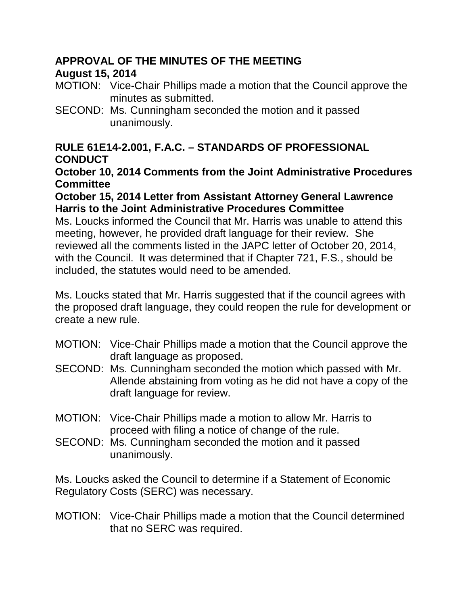## **APPROVAL OF THE MINUTES OF THE MEETING**

# **August 15, 2014**

- MOTION: Vice-Chair Phillips made a motion that the Council approve the minutes as submitted.
- SECOND: Ms. Cunningham seconded the motion and it passed unanimously.

## **RULE 61E14-2.001, F.A.C. – STANDARDS OF PROFESSIONAL CONDUCT**

**October 10, 2014 Comments from the Joint Administrative Procedures Committee**

#### **October 15, 2014 Letter from Assistant Attorney General Lawrence Harris to the Joint Administrative Procedures Committee**

Ms. Loucks informed the Council that Mr. Harris was unable to attend this meeting, however, he provided draft language for their review. She reviewed all the comments listed in the JAPC letter of October 20, 2014, with the Council. It was determined that if Chapter 721, F.S., should be included, the statutes would need to be amended.

Ms. Loucks stated that Mr. Harris suggested that if the council agrees with the proposed draft language, they could reopen the rule for development or create a new rule.

- MOTION: Vice-Chair Phillips made a motion that the Council approve the draft language as proposed.
- SECOND: Ms. Cunningham seconded the motion which passed with Mr. Allende abstaining from voting as he did not have a copy of the draft language for review.
- MOTION: Vice-Chair Phillips made a motion to allow Mr. Harris to proceed with filing a notice of change of the rule.
- SECOND: Ms. Cunningham seconded the motion and it passed unanimously.

Ms. Loucks asked the Council to determine if a Statement of Economic Regulatory Costs (SERC) was necessary.

MOTION: Vice-Chair Phillips made a motion that the Council determined that no SERC was required.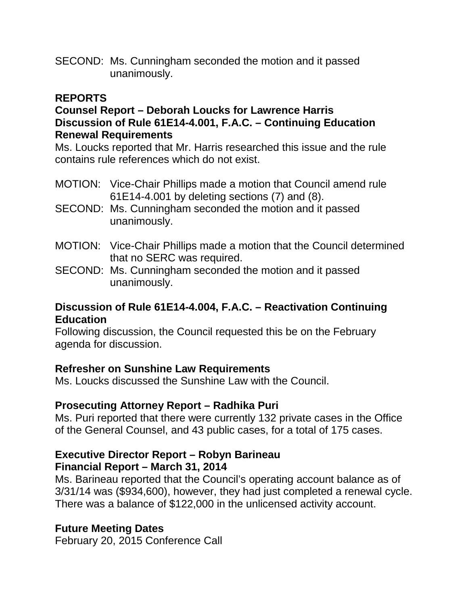SECOND: Ms. Cunningham seconded the motion and it passed unanimously.

#### **REPORTS**

#### **Counsel Report – Deborah Loucks for Lawrence Harris Discussion of Rule 61E14-4.001, F.A.C. – Continuing Education Renewal Requirements**

Ms. Loucks reported that Mr. Harris researched this issue and the rule contains rule references which do not exist.

- MOTION: Vice-Chair Phillips made a motion that Council amend rule 61E14-4.001 by deleting sections (7) and (8).
- SECOND: Ms. Cunningham seconded the motion and it passed unanimously.
- MOTION: Vice-Chair Phillips made a motion that the Council determined that no SERC was required.
- SECOND: Ms. Cunningham seconded the motion and it passed unanimously.

#### **Discussion of Rule 61E14-4.004, F.A.C. – Reactivation Continuing Education**

Following discussion, the Council requested this be on the February agenda for discussion.

### **Refresher on Sunshine Law Requirements**

Ms. Loucks discussed the Sunshine Law with the Council.

#### **Prosecuting Attorney Report – Radhika Puri**

Ms. Puri reported that there were currently 132 private cases in the Office of the General Counsel, and 43 public cases, for a total of 175 cases.

### **Executive Director Report – Robyn Barineau Financial Report – March 31, 2014**

Ms. Barineau reported that the Council's operating account balance as of 3/31/14 was (\$934,600), however, they had just completed a renewal cycle. There was a balance of \$122,000 in the unlicensed activity account.

### **Future Meeting Dates**

February 20, 2015 Conference Call